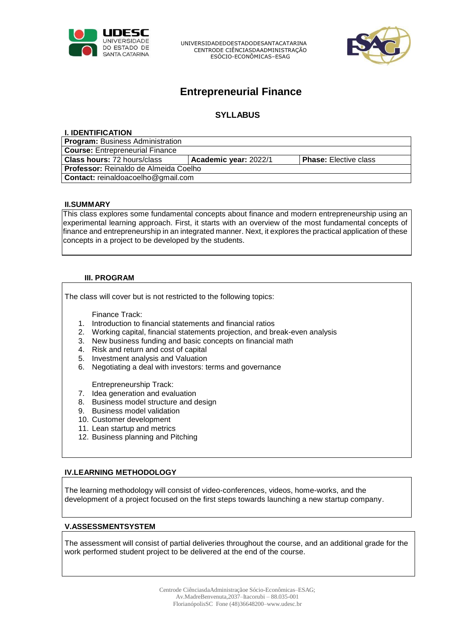

UNIVERSIDADEDOESTADODESANTACATARINA CENTRODE CIÊNCIASDAADMINISTRAÇÃO ESÓCIO-ECONÔMICAS–ESAG



# **Entrepreneurial Finance**

# **SYLLABUS**

| <b>I. IDENTIFICATION</b>                     |                       |                              |
|----------------------------------------------|-----------------------|------------------------------|
| <b>Program: Business Administration</b>      |                       |                              |
| <b>Course: Entrepreneurial Finance</b>       |                       |                              |
| <b>Class hours: 72 hours/class</b>           | Academic year: 2022/1 | <b>Phase:</b> Elective class |
| <b>Professor:</b> Reinaldo de Almeida Coelho |                       |                              |
| Contact: reinaldoacoelho@gmail.com           |                       |                              |
|                                              |                       |                              |

#### **II.SUMMARY**

This class explores some fundamental concepts about finance and modern entrepreneurship using an experimental learning approach. First, it starts with an overview of the most fundamental concepts of finance and entrepreneurship in an integrated manner. Next, it explores the practical application of these concepts in a project to be developed by the students.

#### **III. PROGRAM**

The class will cover but is not restricted to the following topics:

Finance Track:

- 1. Introduction to financial statements and financial ratios
- 2. Working capital, financial statements projection, and break-even analysis
- 3. New business funding and basic concepts on financial math
- 4. Risk and return and cost of capital
- 5. Investment analysis and Valuation
- 6. Negotiating a deal with investors: terms and governance

Entrepreneurship Track:

- 7. Idea generation and evaluation
- 8. Business model structure and design
- 9. Business model validation
- 10. Customer development
- 11. Lean startup and metrics
- 12. Business planning and Pitching

### **IV.LEARNING METHODOLOGY**

The learning methodology will consist of video-conferences, videos, home-works, and the development of a project focused on the first steps towards launching a new startup company.

#### **V.ASSESSMENTSYSTEM**

The assessment will consist of partial deliveries throughout the course, and an additional grade for the work performed student project to be delivered at the end of the course.